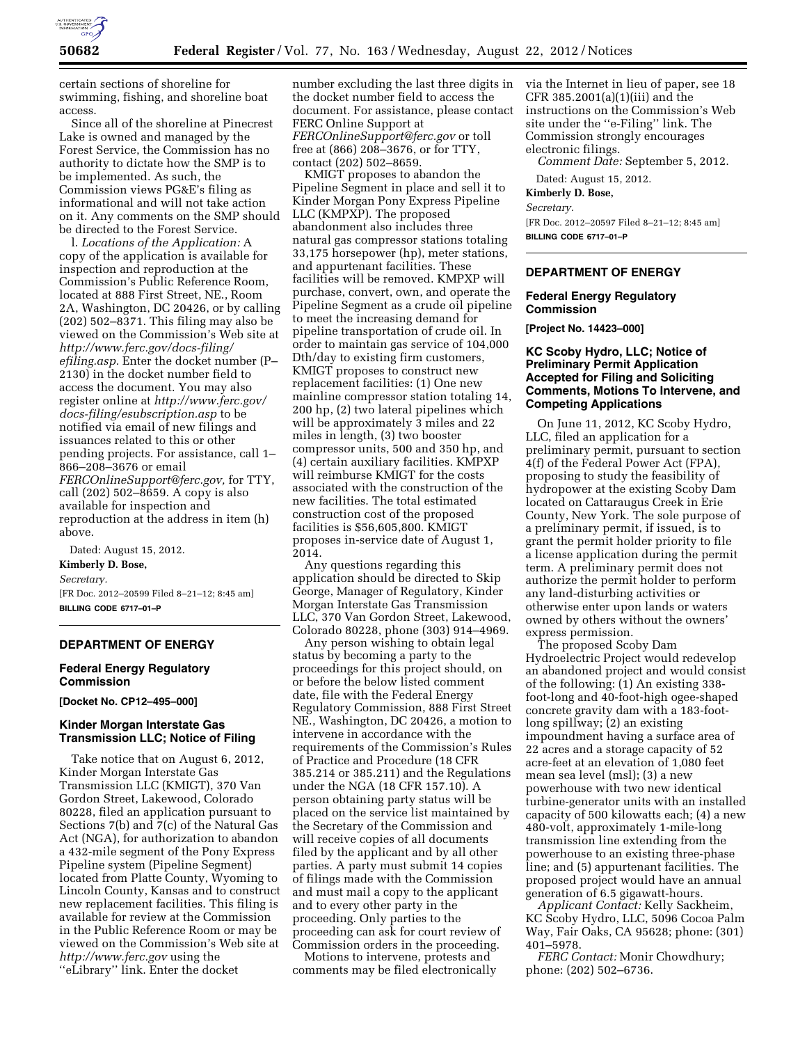

certain sections of shoreline for swimming, fishing, and shoreline boat access.

Since all of the shoreline at Pinecrest Lake is owned and managed by the Forest Service, the Commission has no authority to dictate how the SMP is to be implemented. As such, the Commission views PG&E's filing as informational and will not take action on it. Any comments on the SMP should be directed to the Forest Service.

l. *Locations of the Application:* A copy of the application is available for inspection and reproduction at the Commission's Public Reference Room, located at 888 First Street, NE., Room 2A, Washington, DC 20426, or by calling (202) 502–8371. This filing may also be viewed on the Commission's Web site at *[http://www.ferc.gov/docs-filing/](http://www.ferc.gov/docs-filing/efiling.asp) [efiling.asp.](http://www.ferc.gov/docs-filing/efiling.asp)* Enter the docket number (P– 2130) in the docket number field to access the document. You may also register online at *[http://www.ferc.gov/](http://www.ferc.gov/docs-filing/esubscription.asp) [docs-filing/esubscription.asp](http://www.ferc.gov/docs-filing/esubscription.asp)* to be notified via email of new filings and issuances related to this or other pending projects. For assistance, call 1– 866–208–3676 or email *[FERCOnlineSupport@ferc.gov,](mailto:FERCOnlineSupport@ferc.gov)* for TTY, call (202) 502–8659. A copy is also available for inspection and reproduction at the address in item (h) above.

Dated: August 15, 2012. **Kimberly D. Bose,**  *Secretary.*  [FR Doc. 2012–20599 Filed 8–21–12; 8:45 am]

**BILLING CODE 6717–01–P** 

# **DEPARTMENT OF ENERGY**

## **Federal Energy Regulatory Commission**

**[Docket No. CP12–495–000]** 

# **Kinder Morgan Interstate Gas Transmission LLC; Notice of Filing**

Take notice that on August 6, 2012, Kinder Morgan Interstate Gas Transmission LLC (KMIGT), 370 Van Gordon Street, Lakewood, Colorado 80228, filed an application pursuant to Sections 7(b) and 7(c) of the Natural Gas Act (NGA), for authorization to abandon a 432-mile segment of the Pony Express Pipeline system (Pipeline Segment) located from Platte County, Wyoming to Lincoln County, Kansas and to construct new replacement facilities. This filing is available for review at the Commission in the Public Reference Room or may be viewed on the Commission's Web site at *<http://www.ferc.gov>*using the ''eLibrary'' link. Enter the docket

number excluding the last three digits in the docket number field to access the document. For assistance, please contact FERC Online Support at *[FERCOnlineSupport@ferc.gov](mailto:FERCOnlineSupport@ferc.gov)* or toll free at (866) 208–3676, or for TTY, contact (202) 502–8659.

KMIGT proposes to abandon the Pipeline Segment in place and sell it to Kinder Morgan Pony Express Pipeline LLC (KMPXP). The proposed abandonment also includes three natural gas compressor stations totaling 33,175 horsepower (hp), meter stations, and appurtenant facilities. These facilities will be removed. KMPXP will purchase, convert, own, and operate the Pipeline Segment as a crude oil pipeline to meet the increasing demand for pipeline transportation of crude oil. In order to maintain gas service of 104,000 Dth/day to existing firm customers, KMIGT proposes to construct new replacement facilities: (1) One new mainline compressor station totaling 14, 200 hp, (2) two lateral pipelines which will be approximately 3 miles and 22 miles in length, (3) two booster compressor units, 500 and 350 hp, and (4) certain auxiliary facilities. KMPXP will reimburse KMIGT for the costs associated with the construction of the new facilities. The total estimated construction cost of the proposed facilities is \$56,605,800. KMIGT proposes in-service date of August 1, 2014.

Any questions regarding this application should be directed to Skip George, Manager of Regulatory, Kinder Morgan Interstate Gas Transmission LLC, 370 Van Gordon Street, Lakewood, Colorado 80228, phone (303) 914–4969.

Any person wishing to obtain legal status by becoming a party to the proceedings for this project should, on or before the below listed comment date, file with the Federal Energy Regulatory Commission, 888 First Street NE., Washington, DC 20426, a motion to intervene in accordance with the requirements of the Commission's Rules of Practice and Procedure (18 CFR 385.214 or 385.211) and the Regulations under the NGA (18 CFR 157.10). A person obtaining party status will be placed on the service list maintained by the Secretary of the Commission and will receive copies of all documents filed by the applicant and by all other parties. A party must submit 14 copies of filings made with the Commission and must mail a copy to the applicant and to every other party in the proceeding. Only parties to the proceeding can ask for court review of Commission orders in the proceeding.

Motions to intervene, protests and comments may be filed electronically via the Internet in lieu of paper, see 18 CFR 385.2001(a)(1)(iii) and the instructions on the Commission's Web site under the ''e-Filing'' link. The Commission strongly encourages electronic filings.

*Comment Date:* September 5, 2012.

Dated: August 15, 2012.

**Kimberly D. Bose,** 

*Secretary.* 

[FR Doc. 2012–20597 Filed 8–21–12; 8:45 am] **BILLING CODE 6717–01–P** 

# **DEPARTMENT OF ENERGY**

#### **Federal Energy Regulatory Commission**

**[Project No. 14423–000]** 

## **KC Scoby Hydro, LLC; Notice of Preliminary Permit Application Accepted for Filing and Soliciting Comments, Motions To Intervene, and Competing Applications**

On June 11, 2012, KC Scoby Hydro, LLC, filed an application for a preliminary permit, pursuant to section 4(f) of the Federal Power Act (FPA), proposing to study the feasibility of hydropower at the existing Scoby Dam located on Cattaraugus Creek in Erie County, New York. The sole purpose of a preliminary permit, if issued, is to grant the permit holder priority to file a license application during the permit term. A preliminary permit does not authorize the permit holder to perform any land-disturbing activities or otherwise enter upon lands or waters owned by others without the owners' express permission.

The proposed Scoby Dam Hydroelectric Project would redevelop an abandoned project and would consist of the following: (1) An existing 338 foot-long and 40-foot-high ogee-shaped concrete gravity dam with a 183-footlong spillway; (2) an existing impoundment having a surface area of 22 acres and a storage capacity of 52 acre-feet at an elevation of 1,080 feet mean sea level (msl); (3) a new powerhouse with two new identical turbine-generator units with an installed capacity of 500 kilowatts each; (4) a new 480-volt, approximately 1-mile-long transmission line extending from the powerhouse to an existing three-phase line; and (5) appurtenant facilities. The proposed project would have an annual generation of 6.5 gigawatt-hours.

*Applicant Contact:* Kelly Sackheim, KC Scoby Hydro, LLC, 5096 Cocoa Palm Way, Fair Oaks, CA 95628; phone: (301) 401–5978.

*FERC Contact:* Monir Chowdhury; phone: (202) 502–6736.